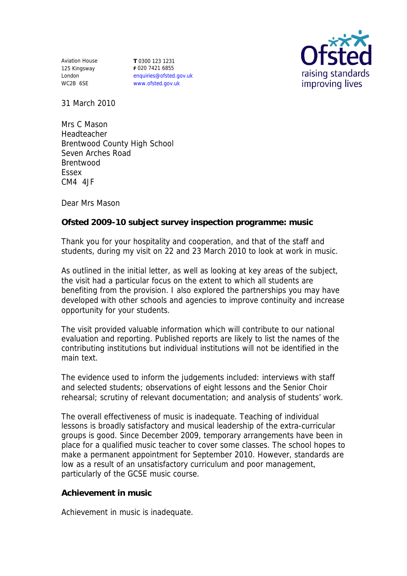Aviation House 125 Kingsway London WC2B 6SE

**T** 0300 123 1231 **F** 020 7421 6855 enquiries@ofsted.gov.uk www.ofsted.gov.uk



31 March 2010

Mrs C Mason Headteacher Brentwood County High School Seven Arches Road Brentwood Essex CM4 4JF

Dear Mrs Mason

**Ofsted 2009-10 subject survey inspection programme: music**

Thank you for your hospitality and cooperation, and that of the staff and students, during my visit on 22 and 23 March 2010 to look at work in music.

As outlined in the initial letter, as well as looking at key areas of the subject, the visit had a particular focus on the extent to which all students are benefiting from the provision. I also explored the partnerships you may have developed with other schools and agencies to improve continuity and increase opportunity for your students.

The visit provided valuable information which will contribute to our national evaluation and reporting. Published reports are likely to list the names of the contributing institutions but individual institutions will not be identified in the main text.

The evidence used to inform the judgements included: interviews with staff and selected students; observations of eight lessons and the Senior Choir rehearsal; scrutiny of relevant documentation; and analysis of students' work.

The overall effectiveness of music is inadequate. Teaching of individual lessons is broadly satisfactory and musical leadership of the extra-curricular groups is good. Since December 2009, temporary arrangements have been in place for a qualified music teacher to cover some classes. The school hopes to make a permanent appointment for September 2010. However, standards are low as a result of an unsatisfactory curriculum and poor management, particularly of the GCSE music course.

**Achievement in music**

Achievement in music is inadequate.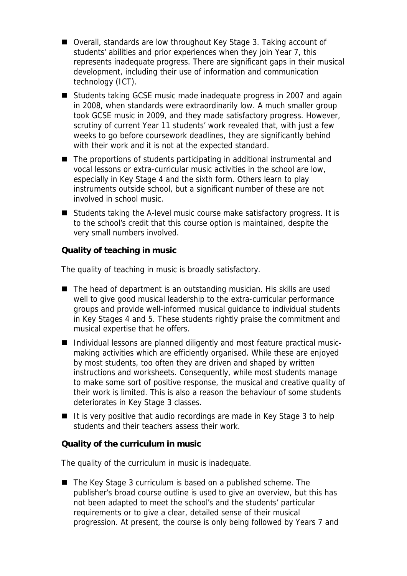- Overall, standards are low throughout Key Stage 3. Taking account of students' abilities and prior experiences when they join Year 7, this represents inadequate progress. There are significant gaps in their musical development, including their use of information and communication technology (ICT).
- Students taking GCSE music made inadequate progress in 2007 and again in 2008, when standards were extraordinarily low. A much smaller group took GCSE music in 2009, and they made satisfactory progress. However, scrutiny of current Year 11 students' work revealed that, with just a few weeks to go before coursework deadlines, they are significantly behind with their work and it is not at the expected standard.
- The proportions of students participating in additional instrumental and vocal lessons or extra-curricular music activities in the school are low, especially in Key Stage 4 and the sixth form. Others learn to play instruments outside school, but a significant number of these are not involved in school music.
- Students taking the A-level music course make satisfactory progress. It is to the school's credit that this course option is maintained, despite the very small numbers involved.

**Quality of teaching in music**

The quality of teaching in music is broadly satisfactory.

- The head of department is an outstanding musician. His skills are used well to give good musical leadership to the extra-curricular performance groups and provide well-informed musical guidance to individual students in Key Stages 4 and 5. These students rightly praise the commitment and musical expertise that he offers.
- Individual lessons are planned diligently and most feature practical musicmaking activities which are efficiently organised. While these are enjoyed by most students, too often they are driven and shaped by written instructions and worksheets. Consequently, while most students manage to make some sort of positive response, the musical and creative quality of their work is limited. This is also a reason the behaviour of some students deteriorates in Key Stage 3 classes.
- $\blacksquare$  It is very positive that audio recordings are made in Key Stage 3 to help students and their teachers assess their work.

**Quality of the curriculum in music**

The quality of the curriculum in music is inadequate.

■ The Key Stage 3 curriculum is based on a published scheme. The publisher's broad course outline is used to give an overview, but this has not been adapted to meet the school's and the students' particular requirements or to give a clear, detailed sense of their musical progression. At present, the course is only being followed by Years 7 and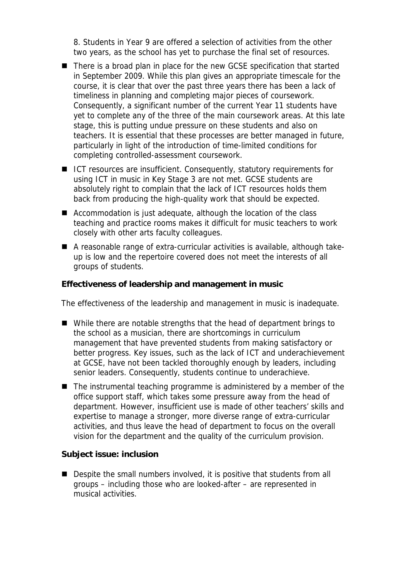8. Students in Year 9 are offered a selection of activities from the other two years, as the school has yet to purchase the final set of resources.

- There is a broad plan in place for the new GCSE specification that started in September 2009. While this plan gives an appropriate timescale for the course, it is clear that over the past three years there has been a lack of timeliness in planning and completing major pieces of coursework. Consequently, a significant number of the current Year 11 students have yet to complete any of the three of the main coursework areas. At this late stage, this is putting undue pressure on these students and also on teachers. It is essential that these processes are better managed in future, particularly in light of the introduction of time-limited conditions for completing controlled-assessment coursework.
- $\blacksquare$  ICT resources are insufficient. Consequently, statutory requirements for using ICT in music in Key Stage 3 are not met. GCSE students are absolutely right to complain that the lack of ICT resources holds them back from producing the high-quality work that should be expected.
- Accommodation is just adequate, although the location of the class teaching and practice rooms makes it difficult for music teachers to work closely with other arts faculty colleagues.
- A reasonable range of extra-curricular activities is available, although takeup is low and the repertoire covered does not meet the interests of all groups of students.

**Effectiveness of leadership and management in music**

The effectiveness of the leadership and management in music is inadequate.

- While there are notable strengths that the head of department brings to the school as a musician, there are shortcomings in curriculum management that have prevented students from making satisfactory or better progress. Key issues, such as the lack of ICT and underachievement at GCSE, have not been tackled thoroughly enough by leaders, including senior leaders. Consequently, students continue to underachieve.
- $\blacksquare$  The instrumental teaching programme is administered by a member of the office support staff, which takes some pressure away from the head of department. However, insufficient use is made of other teachers' skills and expertise to manage a stronger, more diverse range of extra-curricular activities, and thus leave the head of department to focus on the overall vision for the department and the quality of the curriculum provision.

**Subject issue: inclusion**

■ Despite the small numbers involved, it is positive that students from all groups – including those who are looked-after – are represented in musical activities.